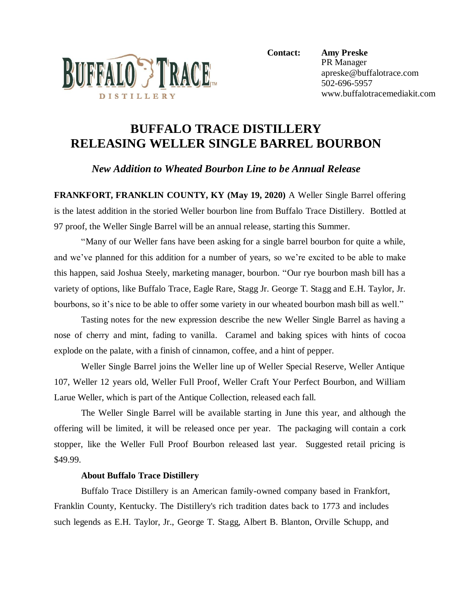

**Contact: Amy Preske** PR Manager apreske@buffalotrace.com 502-696-5957 www.buffalotracemediakit.com

## **BUFFALO TRACE DISTILLERY RELEASING WELLER SINGLE BARREL BOURBON**

*New Addition to Wheated Bourbon Line to be Annual Release* 

**FRANKFORT, FRANKLIN COUNTY, KY (May 19, 2020)** A Weller Single Barrel offering is the latest addition in the storied Weller bourbon line from Buffalo Trace Distillery. Bottled at 97 proof, the Weller Single Barrel will be an annual release, starting this Summer.

"Many of our Weller fans have been asking for a single barrel bourbon for quite a while, and we've planned for this addition for a number of years, so we're excited to be able to make this happen, said Joshua Steely, marketing manager, bourbon. "Our rye bourbon mash bill has a variety of options, like Buffalo Trace, Eagle Rare, Stagg Jr. George T. Stagg and E.H. Taylor, Jr. bourbons, so it's nice to be able to offer some variety in our wheated bourbon mash bill as well."

Tasting notes for the new expression describe the new Weller Single Barrel as having a nose of cherry and mint, fading to vanilla. Caramel and baking spices with hints of cocoa explode on the palate, with a finish of cinnamon, coffee, and a hint of pepper.

Weller Single Barrel joins the Weller line up of Weller Special Reserve, Weller Antique 107, Weller 12 years old, Weller Full Proof, Weller Craft Your Perfect Bourbon, and William Larue Weller, which is part of the Antique Collection, released each fall.

The Weller Single Barrel will be available starting in June this year, and although the offering will be limited, it will be released once per year. The packaging will contain a cork stopper, like the Weller Full Proof Bourbon released last year. Suggested retail pricing is \$49.99.

## **About Buffalo Trace Distillery**

Buffalo Trace Distillery is an American family-owned company based in Frankfort, Franklin County, Kentucky. The Distillery's rich tradition dates back to 1773 and includes such legends as E.H. Taylor, Jr., George T. Stagg, Albert B. Blanton, Orville Schupp, and